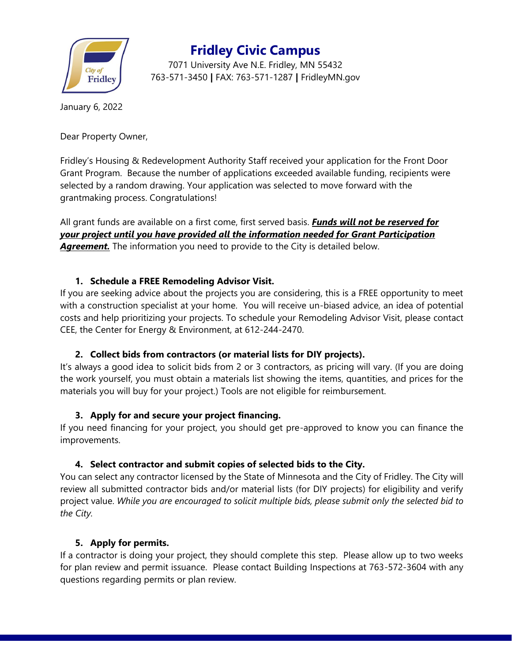

**Fridley Civic Campus**

7071 University Ave N.E. Fridley, MN 55432 763-571-3450 **|** FAX: 763-571-1287 **|** FridleyMN.gov

January 6, 2022

Dear Property Owner,

Fridley's Housing & Redevelopment Authority Staff received your application for the Front Door Grant Program. Because the number of applications exceeded available funding, recipients were selected by a random drawing. Your application was selected to move forward with the grantmaking process. Congratulations!

All grant funds are available on a first come, first served basis. *Funds will not be reserved for your project until you have provided all the information needed for Grant Participation*  **Agreement.** The information you need to provide to the City is detailed below.

### **1. Schedule a FREE Remodeling Advisor Visit.**

If you are seeking advice about the projects you are considering, this is a FREE opportunity to meet with a construction specialist at your home. You will receive un-biased advice, an idea of potential costs and help prioritizing your projects. To schedule your Remodeling Advisor Visit, please contact CEE, the Center for Energy & Environment, at 612-244-2470.

#### **2. Collect bids from contractors (or material lists for DIY projects).**

It's always a good idea to solicit bids from 2 or 3 contractors, as pricing will vary. (If you are doing the work yourself, you must obtain a materials list showing the items, quantities, and prices for the materials you will buy for your project.) Tools are not eligible for reimbursement.

#### **3. Apply for and secure your project financing.**

If you need financing for your project, you should get pre-approved to know you can finance the improvements.

## **4. Select contractor and submit copies of selected bids to the City.**

You can select any contractor licensed by the State of Minnesota and the City of Fridley. The City will review all submitted contractor bids and/or material lists (for DIY projects) for eligibility and verify project value. *While you are encouraged to solicit multiple bids, please submit only the selected bid to the City.*

#### **5. Apply for permits.**

If a contractor is doing your project, they should complete this step. Please allow up to two weeks for plan review and permit issuance. Please contact Building Inspections at 763-572-3604 with any questions regarding permits or plan review.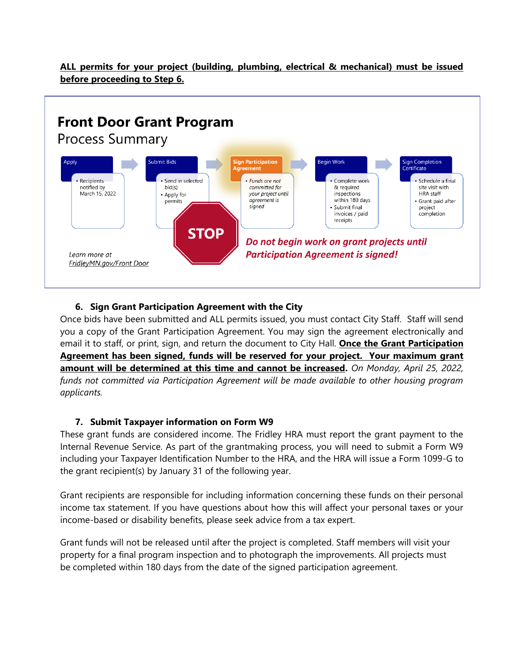**ALL permits for your project (building, plumbing, electrical & mechanical) must be issued before proceeding to Step 6.**



#### **6. Sign Grant Participation Agreement with the City**

Once bids have been submitted and ALL permits issued, you must contact City Staff. Staff will send you a copy of the Grant Participation Agreement. You may sign the agreement electronically and email it to staff, or print, sign, and return the document to City Hall. **Once the Grant Participation Agreement has been signed, funds will be reserved for your project. Your maximum grant amount will be determined at this time and cannot be increased.** *On Monday, April 25, 2022, funds not committed via Participation Agreement will be made available to other housing program applicants.*

#### **7. Submit Taxpayer information on Form W9**

These grant funds are considered income. The Fridley HRA must report the grant payment to the Internal Revenue Service. As part of the grantmaking process, you will need to submit a Form W9 including your Taxpayer Identification Number to the HRA, and the HRA will issue a Form 1099-G to the grant recipient(s) by January 31 of the following year.

Grant recipients are responsible for including information concerning these funds on their personal income tax statement. If you have questions about how this will affect your personal taxes or your income-based or disability benefits, please seek advice from a tax expert.

Grant funds will not be released until after the project is completed. Staff members will visit your property for a final program inspection and to photograph the improvements. All projects must be completed within 180 days from the date of the signed participation agreement.